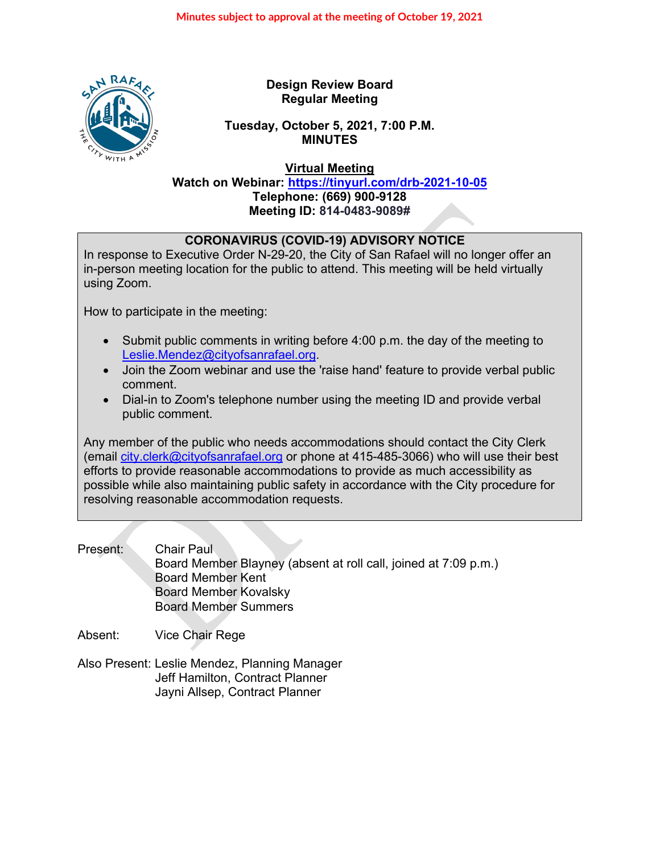

**Design Review Board Regular Meeting**

# **Tuesday, October 5, 2021, 7:00 P.M. MINUTES**

**Virtual Meeting**

**Watch on Webinar: <https://tinyurl.com/drb-2021-10-05> Telephone: (669) 900-9128 Meeting ID: 814-0483-9089#**

# **CORONAVIRUS (COVID-19) ADVISORY NOTICE**

In response to Executive Order N-29-20, the City of San Rafael will no longer offer an in-person meeting location for the public to attend. This meeting will be held virtually using Zoom.

How to participate in the meeting:

- Submit public comments in writing before 4:00 p.m. the day of the meeting to [Leslie.Mendez@cityofsanrafael.org.](mailto:Leslie.Mendez@cityofsanrafael.org)
- Join the Zoom webinar and use the 'raise hand' feature to provide verbal public comment.
- Dial-in to Zoom's telephone number using the meeting ID and provide verbal public comment.

Any member of the public who needs accommodations should contact the City Clerk (email [city.clerk@cityofsanrafael.org](mailto:city.clerk@cityofsanrafael.org) or phone at 415-485-3066) who will use their best efforts to provide reasonable accommodations to provide as much accessibility as possible while also maintaining public safety in accordance with the City procedure for resolving reasonable accommodation requests.

Present: Chair Paul Board Member Blayney (absent at roll call, joined at 7:09 p.m.) Board Member Kent Board Member Kovalsky Board Member Summers

Absent: Vice Chair Rege

Also Present: Leslie Mendez, Planning Manager Jeff Hamilton, Contract Planner Jayni Allsep, Contract Planner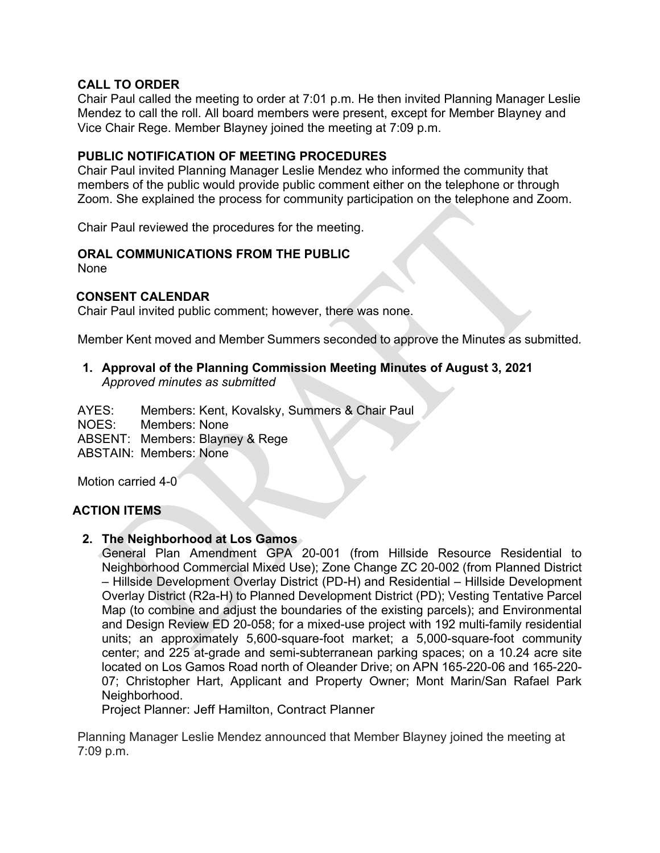# **CALL TO ORDER**

Chair Paul called the meeting to order at 7:01 p.m. He then invited Planning Manager Leslie Mendez to call the roll. All board members were present, except for Member Blayney and Vice Chair Rege. Member Blayney joined the meeting at 7:09 p.m.

# **PUBLIC NOTIFICATION OF MEETING PROCEDURES**

Chair Paul invited Planning Manager Leslie Mendez who informed the community that members of the public would provide public comment either on the telephone or through Zoom. She explained the process for community participation on the telephone and Zoom.

Chair Paul reviewed the procedures for the meeting.

#### **ORAL COMMUNICATIONS FROM THE PUBLIC**

None

#### **CONSENT CALENDAR**

Chair Paul invited public comment; however, there was none.

Member Kent moved and Member Summers seconded to approve the Minutes as submitted*.* 

#### **1. Approval of the Planning Commission Meeting Minutes of August 3, 2021** *Approved minutes as submitted*

AYES: Members: Kent, Kovalsky, Summers & Chair Paul NOES: Members: None ABSENT: Members: Blayney & Rege ABSTAIN: Members: None

Motion carried 4-0

#### **ACTION ITEMS**

#### **2. The Neighborhood at Los Gamos**

General Plan Amendment GPA 20-001 (from Hillside Resource Residential to Neighborhood Commercial Mixed Use); Zone Change ZC 20-002 (from Planned District – Hillside Development Overlay District (PD-H) and Residential – Hillside Development Overlay District (R2a-H) to Planned Development District (PD); Vesting Tentative Parcel Map (to combine and adjust the boundaries of the existing parcels); and Environmental and Design Review ED 20-058; for a mixed-use project with 192 multi-family residential units; an approximately 5,600-square-foot market; a 5,000-square-foot community center; and 225 at-grade and semi-subterranean parking spaces; on a 10.24 acre site located on Los Gamos Road north of Oleander Drive; on APN 165-220-06 and 165-220- 07; Christopher Hart, Applicant and Property Owner; Mont Marin/San Rafael Park Neighborhood.

Project Planner: Jeff Hamilton, Contract Planner

Planning Manager Leslie Mendez announced that Member Blayney joined the meeting at 7:09 p.m.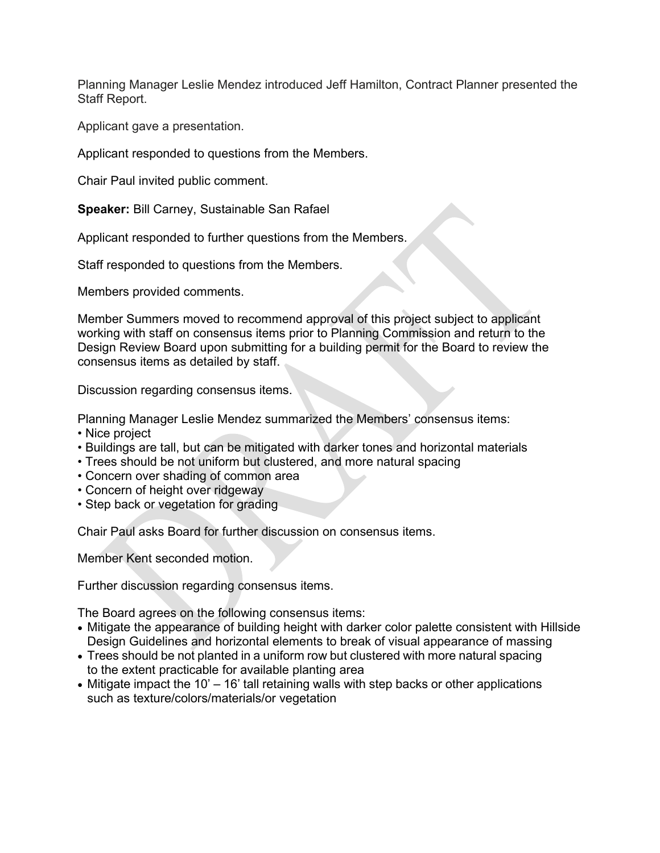Planning Manager Leslie Mendez introduced Jeff Hamilton, Contract Planner presented the Staff Report.

Applicant gave a presentation.

Applicant responded to questions from the Members.

Chair Paul invited public comment.

**Speaker:** Bill Carney, Sustainable San Rafael

Applicant responded to further questions from the Members.

Staff responded to questions from the Members.

Members provided comments.

Member Summers moved to recommend approval of this project subject to applicant working with staff on consensus items prior to Planning Commission and return to the Design Review Board upon submitting for a building permit for the Board to review the consensus items as detailed by staff.

Discussion regarding consensus items.

Planning Manager Leslie Mendez summarized the Members' consensus items:

- Nice project
- Buildings are tall, but can be mitigated with darker tones and horizontal materials
- Trees should be not uniform but clustered, and more natural spacing
- Concern over shading of common area
- Concern of height over ridgeway
- Step back or vegetation for grading

Chair Paul asks Board for further discussion on consensus items.

Member Kent seconded motion.

Further discussion regarding consensus items.

The Board agrees on the following consensus items:

- Mitigate the appearance of building height with darker color palette consistent with Hillside Design Guidelines and horizontal elements to break of visual appearance of massing
- Trees should be not planted in a uniform row but clustered with more natural spacing to the extent practicable for available planting area
- Mitigate impact the 10' 16' tall retaining walls with step backs or other applications such as texture/colors/materials/or vegetation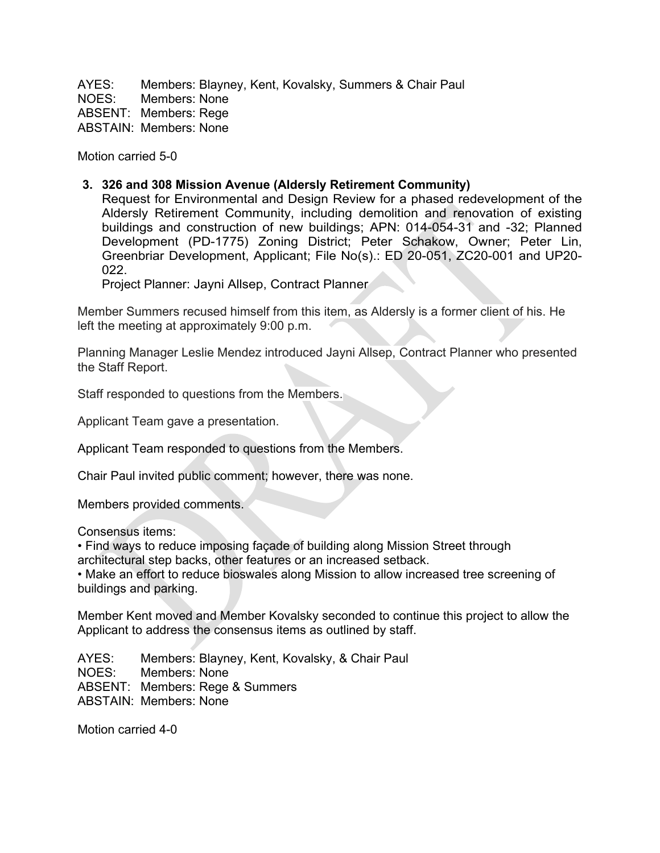AYES: Members: Blayney, Kent, Kovalsky, Summers & Chair Paul NOES: Members: None ABSENT: Members: Rege ABSTAIN: Members: None

Motion carried 5-0

#### **3. 326 and 308 Mission Avenue (Aldersly Retirement Community)**

Request for Environmental and Design Review for a phased redevelopment of the Aldersly Retirement Community, including demolition and renovation of existing buildings and construction of new buildings; APN: 014-054-31 and -32; Planned Development (PD-1775) Zoning District; Peter Schakow, Owner; Peter Lin, Greenbriar Development, Applicant; File No(s).: ED 20-051, ZC20-001 and UP20- 022.

Project Planner: Jayni Allsep, Contract Planner

Member Summers recused himself from this item, as Aldersly is a former client of his. He left the meeting at approximately 9:00 p.m.

Planning Manager Leslie Mendez introduced Jayni Allsep, Contract Planner who presented the Staff Report.

Staff responded to questions from the Members.

Applicant Team gave a presentation.

Applicant Team responded to questions from the Members.

Chair Paul invited public comment; however, there was none.

Members provided comments.

Consensus items:

• Find ways to reduce imposing façade of building along Mission Street through architectural step backs, other features or an increased setback.

• Make an effort to reduce bioswales along Mission to allow increased tree screening of buildings and parking.

Member Kent moved and Member Kovalsky seconded to continue this project to allow the Applicant to address the consensus items as outlined by staff.

AYES: Members: Blayney, Kent, Kovalsky, & Chair Paul NOES: Members: None ABSENT: Members: Rege & Summers ABSTAIN: Members: None

Motion carried 4-0